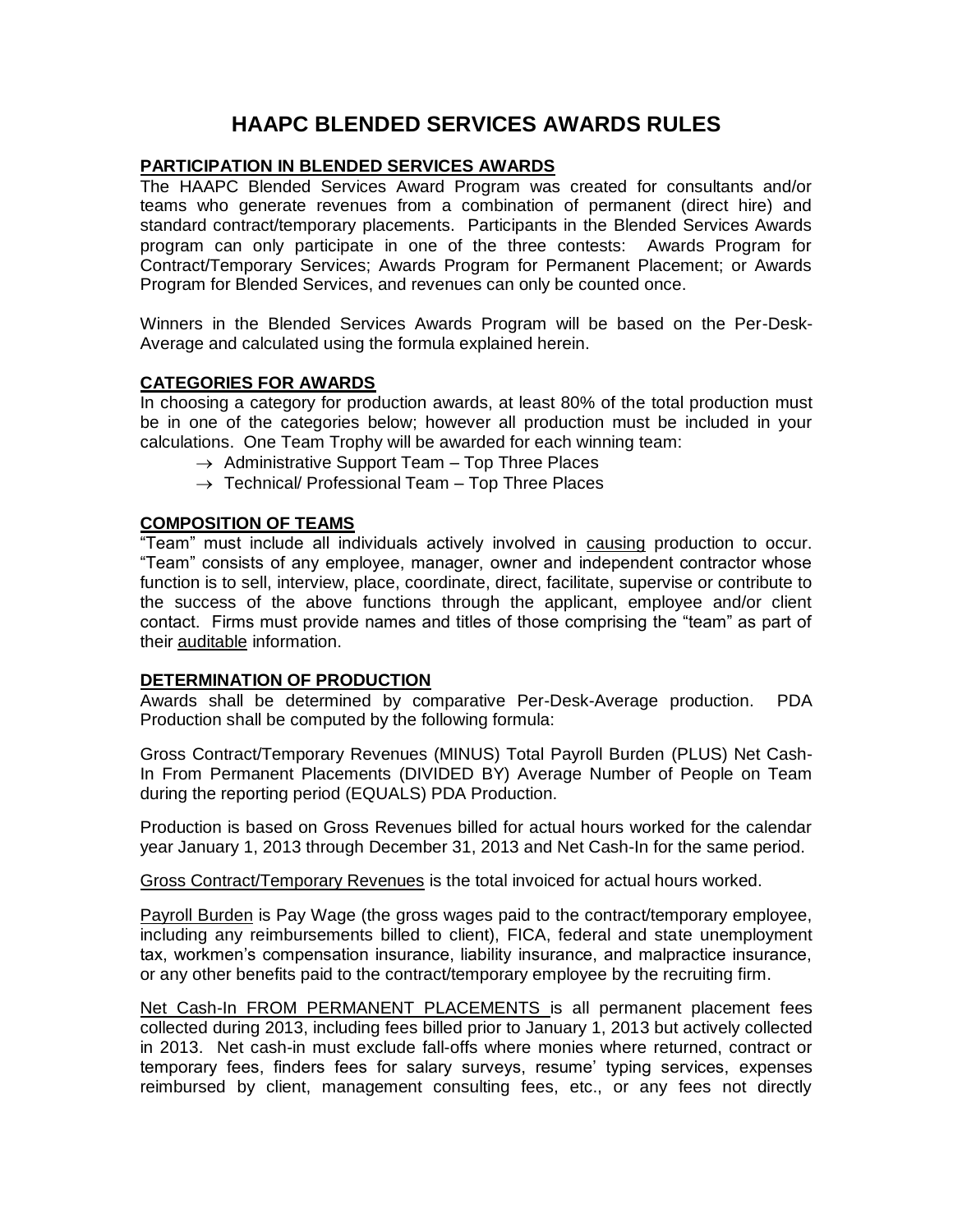# **HAAPC BLENDED SERVICES AWARDS RULES**

## **PARTICIPATION IN BLENDED SERVICES AWARDS**

The HAAPC Blended Services Award Program was created for consultants and/or teams who generate revenues from a combination of permanent (direct hire) and standard contract/temporary placements. Participants in the Blended Services Awards program can only participate in one of the three contests: Awards Program for Contract/Temporary Services; Awards Program for Permanent Placement; or Awards Program for Blended Services, and revenues can only be counted once.

Winners in the Blended Services Awards Program will be based on the Per-Desk-Average and calculated using the formula explained herein.

## **CATEGORIES FOR AWARDS**

In choosing a category for production awards, at least 80% of the total production must be in one of the categories below; however all production must be included in your calculations. One Team Trophy will be awarded for each winning team:

- $\rightarrow$  Administrative Support Team Top Three Places
- $\rightarrow$  Technical/ Professional Team Top Three Places

## **COMPOSITION OF TEAMS**

"Team" must include all individuals actively involved in causing production to occur. "Team" consists of any employee, manager, owner and independent contractor whose function is to sell, interview, place, coordinate, direct, facilitate, supervise or contribute to the success of the above functions through the applicant, employee and/or client contact. Firms must provide names and titles of those comprising the "team" as part of their auditable information.

#### **DETERMINATION OF PRODUCTION**

Awards shall be determined by comparative Per-Desk-Average production. PDA Production shall be computed by the following formula:

Gross Contract/Temporary Revenues (MINUS) Total Payroll Burden (PLUS) Net Cash-In From Permanent Placements (DIVIDED BY) Average Number of People on Team during the reporting period (EQUALS) PDA Production.

Production is based on Gross Revenues billed for actual hours worked for the calendar year January 1, 2013 through December 31, 2013 and Net Cash-In for the same period.

Gross Contract/Temporary Revenues is the total invoiced for actual hours worked.

Payroll Burden is Pay Wage (the gross wages paid to the contract/temporary employee, including any reimbursements billed to client), FICA, federal and state unemployment tax, workmen's compensation insurance, liability insurance, and malpractice insurance, or any other benefits paid to the contract/temporary employee by the recruiting firm.

Net Cash-In FROM PERMANENT PLACEMENTS is all permanent placement fees collected during 2013, including fees billed prior to January 1, 2013 but actively collected in 2013. Net cash-in must exclude fall-offs where monies where returned, contract or temporary fees, finders fees for salary surveys, resume' typing services, expenses reimbursed by client, management consulting fees, etc., or any fees not directly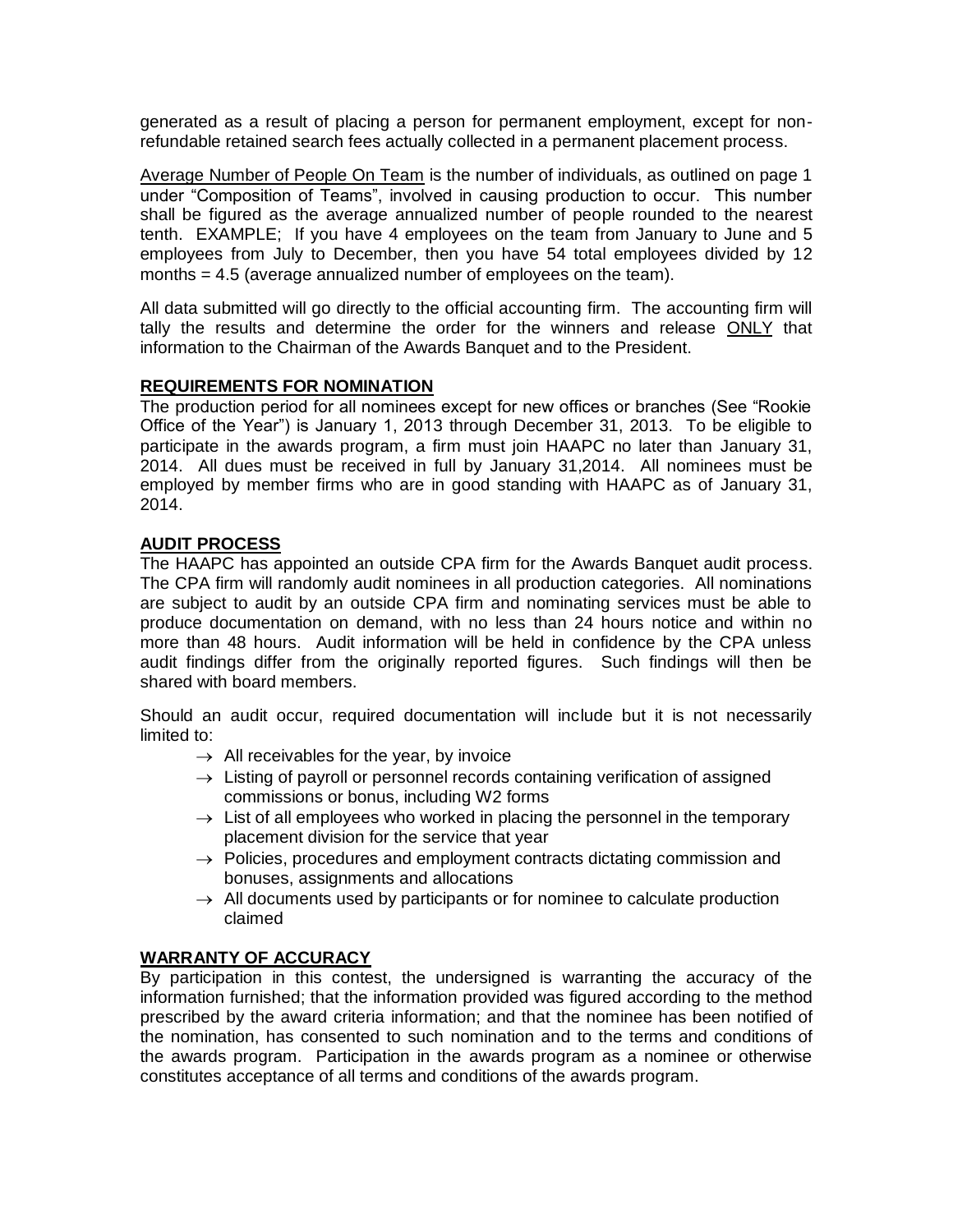generated as a result of placing a person for permanent employment, except for nonrefundable retained search fees actually collected in a permanent placement process.

Average Number of People On Team is the number of individuals, as outlined on page 1 under "Composition of Teams", involved in causing production to occur. This number shall be figured as the average annualized number of people rounded to the nearest tenth. EXAMPLE; If you have 4 employees on the team from January to June and 5 employees from July to December, then you have 54 total employees divided by 12 months = 4.5 (average annualized number of employees on the team).

All data submitted will go directly to the official accounting firm. The accounting firm will tally the results and determine the order for the winners and release ONLY that information to the Chairman of the Awards Banquet and to the President.

# **REQUIREMENTS FOR NOMINATION**

The production period for all nominees except for new offices or branches (See "Rookie Office of the Year") is January 1, 2013 through December 31, 2013. To be eligible to participate in the awards program, a firm must join HAAPC no later than January 31, 2014. All dues must be received in full by January 31,2014. All nominees must be employed by member firms who are in good standing with HAAPC as of January 31, 2014.

## **AUDIT PROCESS**

The HAAPC has appointed an outside CPA firm for the Awards Banquet audit process. The CPA firm will randomly audit nominees in all production categories. All nominations are subject to audit by an outside CPA firm and nominating services must be able to produce documentation on demand, with no less than 24 hours notice and within no more than 48 hours. Audit information will be held in confidence by the CPA unless audit findings differ from the originally reported figures. Such findings will then be shared with board members.

Should an audit occur, required documentation will include but it is not necessarily limited to:

- $\rightarrow$  All receivables for the year, by invoice
- $\rightarrow$  Listing of payroll or personnel records containing verification of assigned commissions or bonus, including W2 forms
- $\rightarrow$  List of all employees who worked in placing the personnel in the temporary placement division for the service that year
- $\rightarrow$  Policies, procedures and employment contracts dictating commission and bonuses, assignments and allocations
- $\rightarrow$  All documents used by participants or for nominee to calculate production claimed

# **WARRANTY OF ACCURACY**

By participation in this contest, the undersigned is warranting the accuracy of the information furnished; that the information provided was figured according to the method prescribed by the award criteria information; and that the nominee has been notified of the nomination, has consented to such nomination and to the terms and conditions of the awards program. Participation in the awards program as a nominee or otherwise constitutes acceptance of all terms and conditions of the awards program.